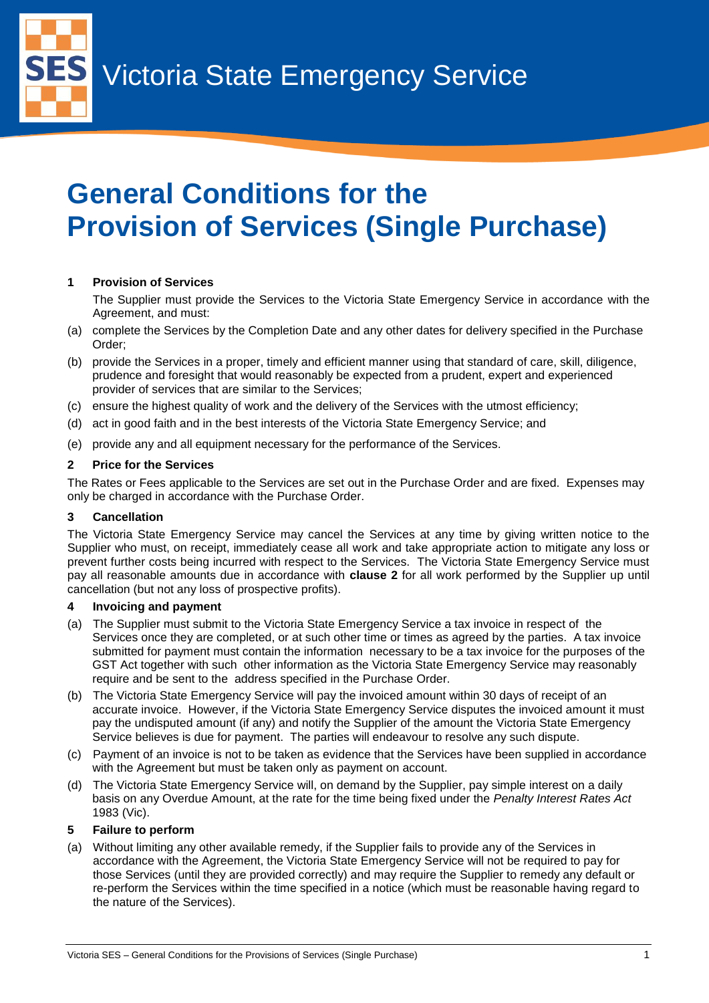Victoria State Emergency Service

# **General Conditions for the Provision of Services (Single Purchase)**

# **1 Provision of Services**

The Supplier must provide the Services to the Victoria State Emergency Service in accordance with the Agreement, and must:

- (a) complete the Services by the Completion Date and any other dates for delivery specified in the Purchase Order;
- (b) provide the Services in a proper, timely and efficient manner using that standard of care, skill, diligence, prudence and foresight that would reasonably be expected from a prudent, expert and experienced provider of services that are similar to the Services;
- (c) ensure the highest quality of work and the delivery of the Services with the utmost efficiency;
- (d) act in good faith and in the best interests of the Victoria State Emergency Service; and
- (e) provide any and all equipment necessary for the performance of the Services.

# **2 Price for the Services**

The Rates or Fees applicable to the Services are set out in the Purchase Order and are fixed. Expenses may only be charged in accordance with the Purchase Order.

# **3 Cancellation**

The Victoria State Emergency Service may cancel the Services at any time by giving written notice to the Supplier who must, on receipt, immediately cease all work and take appropriate action to mitigate any loss or prevent further costs being incurred with respect to the Services. The Victoria State Emergency Service must pay all reasonable amounts due in accordance with **clause 2** for all work performed by the Supplier up until cancellation (but not any loss of prospective profits).

# **4 Invoicing and payment**

- (a) The Supplier must submit to the Victoria State Emergency Service a tax invoice in respect of the Services once they are completed, or at such other time or times as agreed by the parties. A tax invoice submitted for payment must contain the information necessary to be a tax invoice for the purposes of the GST Act together with such other information as the Victoria State Emergency Service may reasonably require and be sent to the address specified in the Purchase Order.
- (b) The Victoria State Emergency Service will pay the invoiced amount within 30 days of receipt of an accurate invoice. However, if the Victoria State Emergency Service disputes the invoiced amount it must pay the undisputed amount (if any) and notify the Supplier of the amount the Victoria State Emergency Service believes is due for payment. The parties will endeavour to resolve any such dispute.
- (c) Payment of an invoice is not to be taken as evidence that the Services have been supplied in accordance with the Agreement but must be taken only as payment on account.
- (d) The Victoria State Emergency Service will, on demand by the Supplier, pay simple interest on a daily basis on any Overdue Amount, at the rate for the time being fixed under the *Penalty Interest Rates Act* 1983 (Vic).

## **5 Failure to perform**

(a) Without limiting any other available remedy, if the Supplier fails to provide any of the Services in accordance with the Agreement, the Victoria State Emergency Service will not be required to pay for those Services (until they are provided correctly) and may require the Supplier to remedy any default or re-perform the Services within the time specified in a notice (which must be reasonable having regard to the nature of the Services).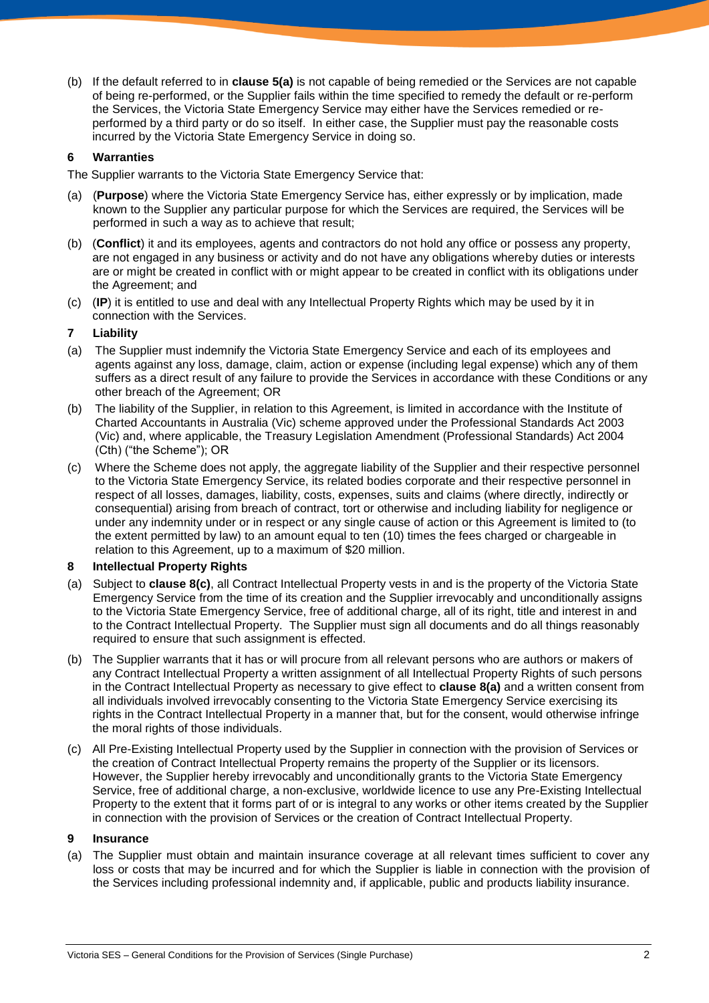(b) If the default referred to in **clause 5(a)** is not capable of being remedied or the Services are not capable of being re-performed, or the Supplier fails within the time specified to remedy the default or re-perform the Services, the Victoria State Emergency Service may either have the Services remedied or reperformed by a third party or do so itself. In either case, the Supplier must pay the reasonable costs incurred by the Victoria State Emergency Service in doing so.

## **6 Warranties**

The Supplier warrants to the Victoria State Emergency Service that:

- (a) (**Purpose**) where the Victoria State Emergency Service has, either expressly or by implication, made known to the Supplier any particular purpose for which the Services are required, the Services will be performed in such a way as to achieve that result;
- (b) (**Conflict**) it and its employees, agents and contractors do not hold any office or possess any property, are not engaged in any business or activity and do not have any obligations whereby duties or interests are or might be created in conflict with or might appear to be created in conflict with its obligations under the Agreement; and
- (c) (**IP**) it is entitled to use and deal with any Intellectual Property Rights which may be used by it in connection with the Services.

## **7 Liability**

- (a) The Supplier must indemnify the Victoria State Emergency Service and each of its employees and agents against any loss, damage, claim, action or expense (including legal expense) which any of them suffers as a direct result of any failure to provide the Services in accordance with these Conditions or any other breach of the Agreement; OR
- (b) The liability of the Supplier, in relation to this Agreement, is limited in accordance with the Institute of Charted Accountants in Australia (Vic) scheme approved under the Professional Standards Act 2003 (Vic) and, where applicable, the Treasury Legislation Amendment (Professional Standards) Act 2004 (Cth) ("the Scheme"); OR
- (c) Where the Scheme does not apply, the aggregate liability of the Supplier and their respective personnel to the Victoria State Emergency Service, its related bodies corporate and their respective personnel in respect of all losses, damages, liability, costs, expenses, suits and claims (where directly, indirectly or consequential) arising from breach of contract, tort or otherwise and including liability for negligence or under any indemnity under or in respect or any single cause of action or this Agreement is limited to (to the extent permitted by law) to an amount equal to ten (10) times the fees charged or chargeable in relation to this Agreement, up to a maximum of \$20 million.

## **8 Intellectual Property Rights**

- (a) Subject to **clause 8(c)**, all Contract Intellectual Property vests in and is the property of the Victoria State Emergency Service from the time of its creation and the Supplier irrevocably and unconditionally assigns to the Victoria State Emergency Service, free of additional charge, all of its right, title and interest in and to the Contract Intellectual Property. The Supplier must sign all documents and do all things reasonably required to ensure that such assignment is effected.
- (b) The Supplier warrants that it has or will procure from all relevant persons who are authors or makers of any Contract Intellectual Property a written assignment of all Intellectual Property Rights of such persons in the Contract Intellectual Property as necessary to give effect to **clause 8(a)** and a written consent from all individuals involved irrevocably consenting to the Victoria State Emergency Service exercising its rights in the Contract Intellectual Property in a manner that, but for the consent, would otherwise infringe the moral rights of those individuals.
- (c) All Pre-Existing Intellectual Property used by the Supplier in connection with the provision of Services or the creation of Contract Intellectual Property remains the property of the Supplier or its licensors. However, the Supplier hereby irrevocably and unconditionally grants to the Victoria State Emergency Service, free of additional charge, a non-exclusive, worldwide licence to use any Pre-Existing Intellectual Property to the extent that it forms part of or is integral to any works or other items created by the Supplier in connection with the provision of Services or the creation of Contract Intellectual Property.

#### **9 Insurance**

(a) The Supplier must obtain and maintain insurance coverage at all relevant times sufficient to cover any loss or costs that may be incurred and for which the Supplier is liable in connection with the provision of the Services including professional indemnity and, if applicable, public and products liability insurance.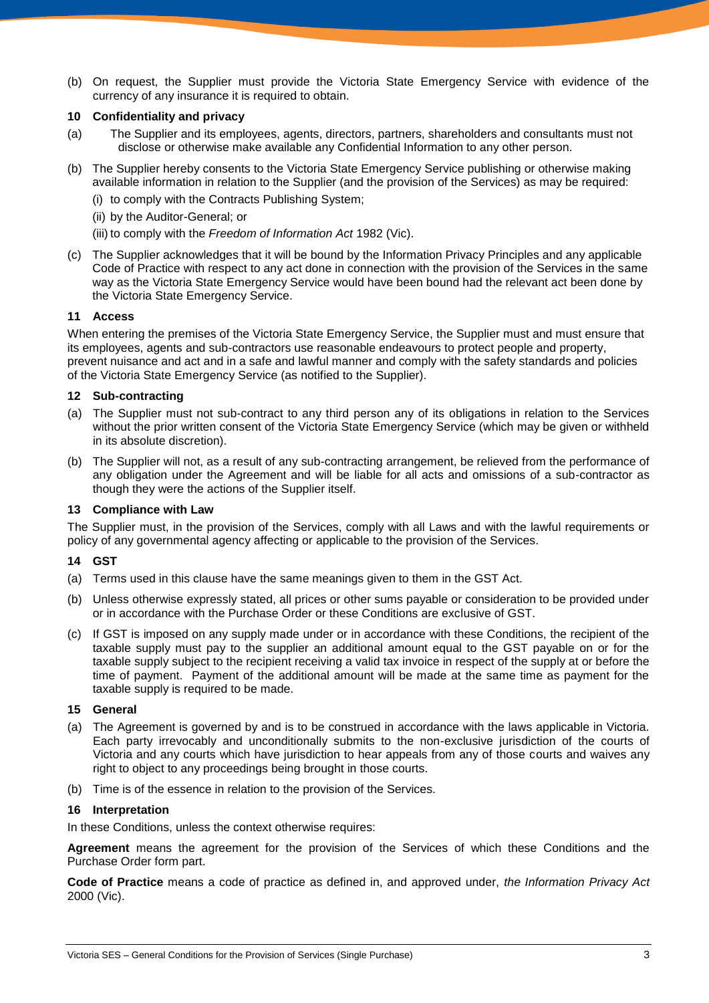(b) On request, the Supplier must provide the Victoria State Emergency Service with evidence of the currency of any insurance it is required to obtain.

#### **10 Confidentiality and privacy**

- (a) The Supplier and its employees, agents, directors, partners, shareholders and consultants must not disclose or otherwise make available any Confidential Information to any other person.
- (b) The Supplier hereby consents to the Victoria State Emergency Service publishing or otherwise making available information in relation to the Supplier (and the provision of the Services) as may be required:
	- (i) to comply with the Contracts Publishing System;
	- (ii) by the Auditor-General; or
	- (iii) to comply with the *Freedom of Information Act* 1982 (Vic).
- (c) The Supplier acknowledges that it will be bound by the Information Privacy Principles and any applicable Code of Practice with respect to any act done in connection with the provision of the Services in the same way as the Victoria State Emergency Service would have been bound had the relevant act been done by the Victoria State Emergency Service.

#### **11 Access**

When entering the premises of the Victoria State Emergency Service, the Supplier must and must ensure that its employees, agents and sub-contractors use reasonable endeavours to protect people and property, prevent nuisance and act and in a safe and lawful manner and comply with the safety standards and policies of the Victoria State Emergency Service (as notified to the Supplier).

#### **12 Sub-contracting**

- (a) The Supplier must not sub-contract to any third person any of its obligations in relation to the Services without the prior written consent of the Victoria State Emergency Service (which may be given or withheld in its absolute discretion).
- (b) The Supplier will not, as a result of any sub-contracting arrangement, be relieved from the performance of any obligation under the Agreement and will be liable for all acts and omissions of a sub-contractor as though they were the actions of the Supplier itself.

#### **13 Compliance with Law**

The Supplier must, in the provision of the Services, comply with all Laws and with the lawful requirements or policy of any governmental agency affecting or applicable to the provision of the Services.

#### **14 GST**

- (a) Terms used in this clause have the same meanings given to them in the GST Act.
- (b) Unless otherwise expressly stated, all prices or other sums payable or consideration to be provided under or in accordance with the Purchase Order or these Conditions are exclusive of GST.
- (c) If GST is imposed on any supply made under or in accordance with these Conditions, the recipient of the taxable supply must pay to the supplier an additional amount equal to the GST payable on or for the taxable supply subject to the recipient receiving a valid tax invoice in respect of the supply at or before the time of payment. Payment of the additional amount will be made at the same time as payment for the taxable supply is required to be made.

## **15 General**

- (a) The Agreement is governed by and is to be construed in accordance with the laws applicable in Victoria. Each party irrevocably and unconditionally submits to the non-exclusive jurisdiction of the courts of Victoria and any courts which have jurisdiction to hear appeals from any of those courts and waives any right to object to any proceedings being brought in those courts.
- (b) Time is of the essence in relation to the provision of the Services.

#### **16 Interpretation**

In these Conditions, unless the context otherwise requires:

**Agreement** means the agreement for the provision of the Services of which these Conditions and the Purchase Order form part.

**Code of Practice** means a code of practice as defined in, and approved under, *the Information Privacy Act* 2000 (Vic).